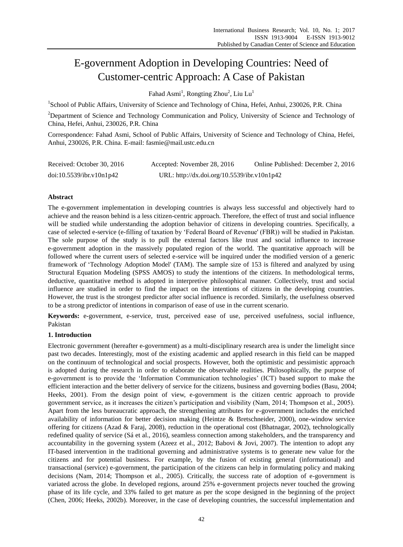# E-government Adoption in Developing Countries: Need of Customer-centric Approach: A Case of Pakistan

Fahad Asmi<sup>1</sup>, Rongting Zhou<sup>2</sup>, Liu Lu<sup>1</sup>

<sup>1</sup>School of Public Affairs, University of Science and Technology of China, Hefei, Anhui, 230026, P.R. China

<sup>2</sup>Department of Science and Technology Communication and Policy, University of Science and Technology of China, Hefei, Anhui, 230026, P.R. China

Correspondence: Fahad Asmi, School of Public Affairs, University of Science and Technology of China, Hefei, Anhui, 230026, P.R. China. E-mail: fasmie@mail.ustc.edu.cn

| Received: October 30, 2016 | Accepted: November 28, 2016                 | Online Published: December 2, 2016 |
|----------------------------|---------------------------------------------|------------------------------------|
| doi:10.5539/ibr.v10n1p42   | URL: http://dx.doi.org/10.5539/ibr.v10n1p42 |                                    |

# **Abstract**

The e-government implementation in developing countries is always less successful and objectively hard to achieve and the reason behind is a less citizen-centric approach. Therefore, the effect of trust and social influence will be studied while understanding the adoption behavior of citizens in developing countries. Specifically, a case of selected e-service (e-filling of taxation by 'Federal Board of Revenue' (FBR)) will be studied in Pakistan. The sole purpose of the study is to pull the external factors like trust and social influence to increase e-government adoption in the massively populated region of the world. The quantitative approach will be followed where the current users of selected e-service will be inquired under the modified version of a generic framework of 'Technology Adoption Model' (TAM). The sample size of 153 is filtered and analyzed by using Structural Equation Modeling (SPSS AMOS) to study the intentions of the citizens. In methodological terms, deductive, quantitative method is adopted in interpretive philosophical manner. Collectively, trust and social influence are studied in order to find the impact on the intentions of citizens in the developing countries. However, the trust is the strongest predictor after social influence is recorded. Similarly, the usefulness observed to be a strong predictor of intentions in comparison of ease of use in the current scenario.

**Keywords:** e-government, e-service, trust, perceived ease of use, perceived usefulness, social influence, Pakistan

# **1. Introduction**

Electronic government (hereafter e-government) as a multi-disciplinary research area is under the limelight since past two decades. Interestingly, most of the existing academic and applied research in this field can be mapped on the continuum of technological and social prospects. However, both the optimistic and pessimistic approach is adopted during the research in order to elaborate the observable realities. Philosophically, the purpose of e-government is to provide the 'Information Communication technologies' (ICT) based support to make the efficient interaction and the better delivery of service for the citizens, business and governing bodies (Basu, 2004; Heeks, 2001). From the design point of view, e-government is the citizen centric approach to provide government service, as it increases the citizen's participation and visibility (Nam, 2014; Thompson et al., 2005). Apart from the less bureaucratic approach, the strengthening attributes for e-government includes the enriched availability of information for better decision making (Heintze & Bretschneider, 2000), one-window service offering for citizens (Azad & Faraj, 2008), reduction in the operational cost (Bhatnagar, 2002), technologically redefined quality of service (Sá et al., 2016), seamless connection among stakeholders, and the transparency and accountability in the governing system (Azeez et al., 2012; Babovi & Jovi, 2007). The intention to adopt any IT-based intervention in the traditional governing and administrative systems is to generate new value for the citizens and for potential business. For example, by the fusion of existing general (informational) and transactional (service) e-government, the participation of the citizens can help in formulating policy and making decisions (Nam, 2014; Thompson et al., 2005). Critically, the success rate of adoption of e-government is variated across the globe. In developed regions, around 25% e-government projects never touched the growing phase of its life cycle, and 33% failed to get mature as per the scope designed in the beginning of the project (Chen, 2006; Heeks, 2002b). Moreover, in the case of developing countries, the successful implementation and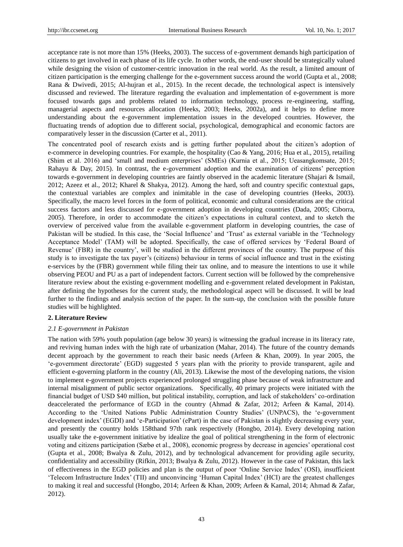acceptance rate is not more than 15% (Heeks, 2003). The success of e-government demands high participation of citizens to get involved in each phase of its life cycle. In other words, the end-user should be strategically valued while designing the vision of customer-centric innovation in the real world. As the result, a limited amount of citizen participation is the emerging challenge for the e-government success around the world (Gupta et al., 2008; Rana & Dwivedi, 2015; Al-hujran et al., 2015). In the recent decade, the technological aspect is intensively discussed and reviewed. The literature regarding the evaluation and implementation of e-government is more focused towards gaps and problems related to information technology, process re-engineering, staffing, managerial aspects and resources allocation (Heeks, 2003; Heeks, 2002a), and it helps to define more understanding about the e-government implementation issues in the developed countries. However, the fluctuating trends of adoption due to different social, psychological, demographical and economic factors are comparatively lesser in the discussion (Carter et al., 2011).

The concentrated pool of research exists and is getting further populated about the citizen's adoption of e-commerce in developing countries. For example, the hospitality (Cao & Yang, 2016; Hua et al., 2015), retailing (Shim et al. 2016) and 'small and medium enterprises' (SMEs) (Kurnia et al., 2015; Ueasangkomsate, 2015; Rahayu & Day, 2015). In contrast, the e-government adoption and the examination of citizens' perception towards e-government in developing countries are faintly observed in the academic literature (Shajari & Ismail, 2012; Azeez et al., 2012; Kharel & Shakya, 2012). Among the hard, soft and country specific contextual gaps, the contextual variables are complex and inimitable in the case of developing countries (Heeks, 2003). Specifically, the macro level forces in the form of political, economic and cultural considerations are the critical success factors and less discussed for e-government adoption in developing countries (Dada, 2005; Ciborra, 2005). Therefore, in order to accommodate the citizen's expectations in cultural context, and to sketch the overview of perceived value from the available e-government platform in developing countries, the case of Pakistan will be studied. In this case, the 'Social Influence' and 'Trust' as external variable in the 'Technology Acceptance Model' (TAM) will be adopted. Specifically, the case of offered services by 'Federal Board of Revenue' (FBR) in the country', will be studied in the different provinces of the country. The purpose of this study is to investigate the tax payer's (citizens) behaviour in terms of social influence and trust in the existing e-services by the (FBR) government while filing their tax online, and to measure the intentions to use it while observing PEOU and PU as a part of independent factors. Current section will be followed by the comprehensive literature review about the existing e-government modelling and e-government related development in Pakistan, after defining the hypotheses for the current study, the methodological aspect will be discussed. It will be lead further to the findings and analysis section of the paper. In the sum-up, the conclusion with the possible future studies will be highlighted.

# **2. Literature Review**

## *2.1 E-government in Pakistan*

The nation with 59% youth population (age below 30 years) is witnessing the gradual increase in its literacy rate, and reviving human index with the high rate of urbanization (Mahar, 2014). The future of the country demands decent approach by the government to reach their basic needs (Arfeen & Khan, 2009). In year 2005, the 'e-government directorate' (EGD) suggested 5 years plan with the priority to provide transparent, agile and efficient e-governing platform in the country (Ali, 2013). Likewise the most of the developing nations, the vision to implement e-government projects experienced prolonged struggling phase because of weak infrastructure and internal misalignment of public sector organizations. Specifically, 40 primary projects were initiated with the financial budget of USD \$40 million, but political instability, corruption, and lack of stakeholders' co-ordination deaccelerated the performance of EGD in the country (Ahmad & Zafar, 2012; Arfeen & Kamal, 2014). According to the 'United Nations Public Administration Country Studies' (UNPACS), the 'e-government development index' (EGDI) and 'e-Participation' (ePart) in the case of Pakistan is slightly decreasing every year, and presently the country holds 158thand 97th rank respectively (Hongbo, 2014). Every developing nation usually take the e-government initiative by idealize the goal of political strengthening in the form of electronic voting and citizens participation (Sæbø et al., 2008), economic progress by decrease in agencies' operational cost (Gupta et al., 2008; Bwalya & Zulu, 2012), and by technological advancement for providing agile security, confidentiality and accessibility (Rifkin, 2013; Bwalya & Zulu, 2012). However in the case of Pakistan, this lack of effectiveness in the EGD policies and plan is the output of poor 'Online Service Index' (OSI), insufficient 'Telecom Infrastructure Index' (TII) and unconvincing 'Human Capital Index' (HCI) are the greatest challenges to making it real and successful (Hongbo, 2014; Arfeen & Khan, 2009; Arfeen & Kamal, 2014; Ahmad & Zafar, 2012).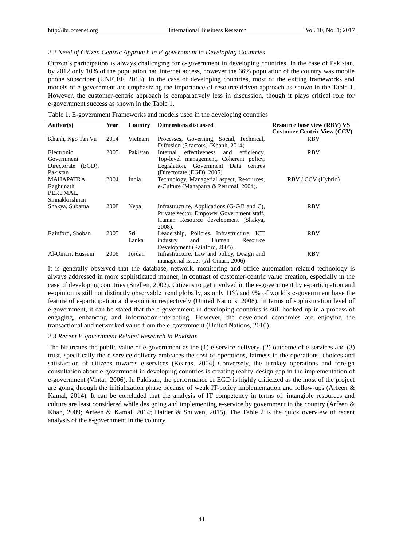# *2.2 Need of Citizen Centric Approach in E-government in Developing Countries*

Citizen's participation is always challenging for e-government in developing countries. In the case of Pakistan, by 2012 only 10% of the population had internet access, however the 66% population of the country was mobile phone subscriber (UNICEF, 2013). In the case of developing countries, most of the exiting frameworks and models of e-government are emphasizing the importance of resource driven approach as shown in the Table 1. However, the customer-centric approach is comparatively less in discussion, though it plays critical role for e-government success as shown in the Table 1.

|  | Table 1. E-government Frameworks and models used in the developing countries |  |  |
|--|------------------------------------------------------------------------------|--|--|
|  |                                                                              |  |  |

| Author(s)             | Year | Country  | <b>Dimensions discussed</b>                            | <b>Resource base view (RBV) VS</b> |
|-----------------------|------|----------|--------------------------------------------------------|------------------------------------|
|                       |      |          |                                                        | <b>Customer-Centric View (CCV)</b> |
| Khanh, Ngo Tan Vu     | 2014 | Vietnam  | Processes, Governing, Social, Technical,               | <b>RBV</b>                         |
|                       |      |          | Diffusion (5 factors) (Khanh, 2014)                    |                                    |
| Electronic            | 2005 | Pakistan | Internal effectiveness<br>efficiency,<br>and           | <b>RBV</b>                         |
| Government            |      |          | Top-level management, Coherent policy,                 |                                    |
| (EGD),<br>Directorate |      |          | Legislation, Government Data centres                   |                                    |
| Pakistan              |      |          | (Directorate (EGD), 2005).                             |                                    |
| MAHAPATRA,            | 2004 | India    | Technology, Managerial aspect, Resources,              | RBV / CCV (Hybrid)                 |
| Raghunath             |      |          | e-Culture (Mahapatra & Perumal, 2004).                 |                                    |
| PERUMAL,              |      |          |                                                        |                                    |
| Sinnakkrishnan        |      |          |                                                        |                                    |
| Shakya, Subarna       | 2008 | Nepal    | Infrastructure, Applications (G-G <sub>B</sub> and C), | <b>RBV</b>                         |
|                       |      |          | Private sector, Empower Government staff,              |                                    |
|                       |      |          | Human Resource development (Shakya,                    |                                    |
|                       |      | Sri      | 2008).                                                 |                                    |
| Rainford, Shoban      | 2005 |          | Leadership, Policies, Infrastructure, ICT              | <b>RBV</b>                         |
|                       |      | Lanka    | industry<br>and<br>Human<br>Resource                   |                                    |
|                       |      |          | Development (Rainford, 2005).                          |                                    |
| Al-Omari, Hussein     | 2006 | Jordan   | Infrastructure, Law and policy, Design and             | <b>RBV</b>                         |
|                       |      |          | managerial issues (Al-Omari, 2006).                    |                                    |

It is generally observed that the database, network, monitoring and office automation related technology is always addressed in more sophisticated manner, in contrast of customer-centric value creation, especially in the case of developing countries (Snellen, 2002). Citizens to get involved in the e-government by e-participation and e-opinion is still not distinctly observable trend globally, as only 11% and 9% of world's e-government have the feature of e-participation and e-opinion respectively (United Nations, 2008). In terms of sophistication level of e-government, it can be stated that the e-government in developing countries is still hooked up in a process of engaging, enhancing and information-interacting. However, the developed economies are enjoying the transactional and networked value from the e-government (United Nations, 2010).

## *2.3 Recent E-government Related Research in Pakistan*

The bifurcates the public value of e-government as the (1) e-service delivery, (2) outcome of e-services and (3) trust, specifically the e-service delivery embraces the cost of operations, fairness in the operations, choices and satisfaction of citizens towards e-services (Kearns, 2004) Conversely, the turnkey operations and foreign consultation about e-government in developing countries is creating reality-design gap in the implementation of e-government (Vintar, 2006). In Pakistan, the performance of EGD is highly criticized as the most of the project are going through the initialization phase because of weak IT-policy implementation and follow-ups (Arfeen & Kamal, 2014). It can be concluded that the analysis of IT competency in terms of, intangible resources and culture are least considered while designing and implementing e-service by government in the country (Arfeen & Khan, 2009; Arfeen & Kamal, 2014; Haider & Shuwen, 2015). The Table 2 is the quick overview of recent analysis of the e-government in the country.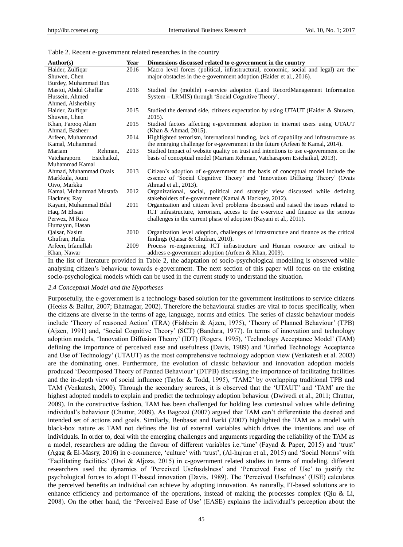|  | Table 2. Recent e-government related researches in the country |  |  |
|--|----------------------------------------------------------------|--|--|
|  |                                                                |  |  |

| Author(s)                       | Year | Dimensions discussed related to e-government in the country                                                                                                             |
|---------------------------------|------|-------------------------------------------------------------------------------------------------------------------------------------------------------------------------|
| Haider, Zulfiqar                | 2016 | Macro level forces (political, infrastructural, economic, social and legal) are the                                                                                     |
| Shuwen, Chen                    |      | major obstacles in the e-government adoption (Haider et al., 2016).                                                                                                     |
| Burdey, Muhammad Bux            |      |                                                                                                                                                                         |
| Mastoi, Abdul Ghaffar           | 2016 | Studied the (mobile) e-service adoption (Land RecordManagement Information                                                                                              |
| Hussein, Ahmed                  |      | System – LRMIS) through 'Social Cognitive Theory'.                                                                                                                      |
| Ahmed, Alsherbiny               |      |                                                                                                                                                                         |
| Haider, Zulfiqar                | 2015 | Studied the demand side, citizens expectation by using UTAUT (Haider & Shuwen,                                                                                          |
| Shuwen, Chen                    |      | 2015).                                                                                                                                                                  |
| Khan, Farooq Alam               | 2015 | Studied factors affecting e-government adoption in internet users using UTAUT                                                                                           |
| Ahmad, Basheer                  |      | (Khan & Ahmad, 2015).                                                                                                                                                   |
| Arfeen, Muhammad                | 2014 | Highlighted terrorism, international funding, lack of capability and infrastructure as                                                                                  |
| Kamal, Muhammad                 |      | the emerging challenge for e-government in the future (Arfeen $& Kamal, 2014$ ).                                                                                        |
| Mariam<br>Rehman.               | 2013 | Studied Impact of website quality on trust and intentions to use e-government on the                                                                                    |
| Vatcharaporn<br>Esichaikul,     |      | basis of conceptual model (Mariam Rehman, Vatcharaporn Esichaikul, 2013).                                                                                               |
| Muhammad Kamal                  |      |                                                                                                                                                                         |
| Ahmad, Muhammad Ovais           | 2013 | Citizen's adoption of e-government on the basis of conceptual model include the                                                                                         |
| Markkula, Jouni                 |      | essence of 'Social Cognitive Theory' and 'Innovation Diffusing Theory' (Ovais                                                                                           |
| Oivo, Markku                    |      | Ahmad et al., 2013).                                                                                                                                                    |
| Kamal, Muhammad Mustafa         | 2012 | Organizational, social, political and strategic view discussed while defining                                                                                           |
| Hackney, Ray                    | 2011 | stakeholders of e-government (Kamal & Hackney, 2012).                                                                                                                   |
| Kayani, Muhammad Bilal          |      | Organization and citizen level problems discussed and raised the issues related to<br>ICT infrastructure, terrorism, access to the e-service and finance as the serious |
| Haq, M Ehsan<br>Perwez, M Raza  |      |                                                                                                                                                                         |
|                                 |      | challenges in the current phase of adoption (Kayani et al., 2011).                                                                                                      |
| Humayun, Hasan<br>Qaisar, Nasim | 2010 |                                                                                                                                                                         |
| Ghufran, Hafiz                  |      | Organization level adoption, challenges of infrastructure and finance as the critical<br>findings (Qaisar & Ghufran, 2010).                                             |
| Arfeen, Irfanullah              | 2009 | Process re-engineering, ICT infrastructure and Human resource are critical to                                                                                           |
| Khan, Nawar                     |      | address e-government adoption (Arfeen & Khan, 2009).                                                                                                                    |
|                                 |      |                                                                                                                                                                         |

In the list of literature provided in Table 2, the adaptation of socio-psychological modelling is observed while analysing citizen's behaviour towards e-government. The next section of this paper will focus on the existing socio-psychological models which can be used in the current study to understand the situation.

#### *2.4 Conceptual Model and the Hypotheses*

Purposefully, the e-government is a technology-based solution for the government institutions to service citizens (Heeks & Bailur, 2007; Bhatnagar, 2002). Therefore the behavioural studies are vital to focus specifically, when the citizens are diverse in the terms of age, language, norms and ethics. The series of classic behaviour models include 'Theory of reasoned Action' (TRA) (Fishbein & Ajzen, 1975), 'Theory of Planned Behaviour' (TPB) (Ajzen, 1991) and, 'Social Cognitive Theory' (SCT) (Bandura, 1977). In terms of innovation and technology adoption models, 'Innovation Diffusion Theory' (IDT) (Rogers, 1995), 'Technology Acceptance Model' (TAM) defining the importance of perceived ease and usefulness (Davis, 1989) and 'Unified Technology Acceptance and Use of Technology' (UTAUT) as the most comprehensive technology adoption view (Venkatesh et al. 2003) are the dominating ones. Furthermore, the evolution of classic behaviour and innovation adoption models produced 'Decomposed Theory of Panned Behaviour' (DTPB) discussing the importance of facilitating facilities and the in-depth view of social influence (Taylor & Todd, 1995), 'TAM2' by overlapping traditional TPB and TAM (Venkatesh, 2000). Through the secondary sources, it is observed that the 'UTAUT' and 'TAM' are the highest adopted models to explain and predict the technology adoption behaviour (Dwivedi et al., 2011; Chuttur, 2009). In the constructive fashion, TAM has been challenged for holding less contextual values while defining individual's behaviour (Chuttur, 2009). As Bagozzi (2007) argued that TAM can't differentiate the desired and intended set of actions and goals. Similarly, Benbasat and Barki (2007) highlighted the TAM as a model with black-box nature as TAM not defines the list of external variables which drives the intentions and use of individuals. In order to, deal with the emerging challenges and arguments regarding the reliability of the TAM as a model, researchers are adding the flavour of different variables i.e.'time' (Fayad & Paper, 2015) and 'trust' (Agag & El-Masry, 2016) in e-commerce, 'culture' with 'trust', (Al-hujran et al., 2015) and 'Social Norms' with 'Facilitating facilities' (Dwi & Aljoza, 2015) in e-government related studies in terms of modeling, different researchers used the dynamics of 'Perceived Usefusdslness' and 'Perceived Ease of Use' to justify the psychological forces to adopt IT-based innovation (Davis, 1989). The 'Perceived Usefulness' (USE) calculates the perceived benefits an individual can achieve by adopting innovation. As naturally, IT-based solutions are to enhance efficiency and performance of the operations, instead of making the processes complex (Qiu & Li, 2008). On the other hand, the 'Perceived Ease of Use' (EASE) explains the individual's perception about the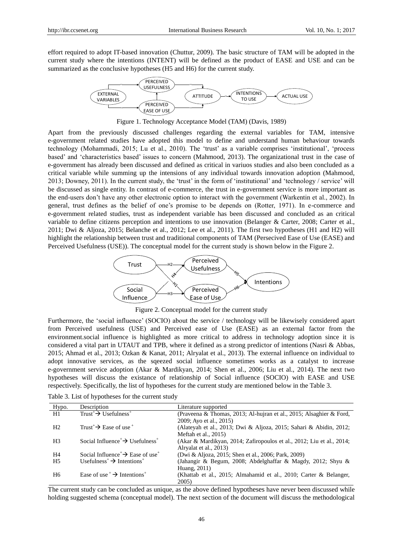effort required to adopt IT-based innovation (Chuttur, 2009). The basic structure of TAM will be adopted in the current study where the intentions (INTENT) will be defined as the product of EASE and USE and can be summarized as the conclusive hypotheses (H5 and H6) for the current study.



Figure 1. Technology Acceptance Model (TAM) (Davis, 1989)

Apart from the previously discussed challenges regarding the external variables for TAM, intensive e-government related studies have adopted this model to define and understand human behaviour towards technology (Mohammadi, 2015; Lu et al., 2010). The 'trust' as a variable comprises 'institutional', 'process based' and 'characteristics based' issues to concern (Mahmood, 2013). The organizational trust in the case of e-government has already been discussed and defined as critical in variuos studies and also been concluded as a critical variable while summing up the intensions of any individual towards innovation adoption (Mahmood, 2013; Downey, 2011). In the current study, the 'trust' in the form of 'institutional' and 'technology / service' will be discussed as single entity. In contrast of e-commerce, the trust in e-government service is more important as the end-users don't have any other electronic option to interact with the government (Warkentin et al., 2002). In general, trust defines as the belief of one's promise to be depends on (Rotter, 1971). In e-commerce and e-government related studies, trust as independent variable has been discussed and concluded as an critical variable to define citizens perception and intentions to use innovation (Belanger & Carter, 2008; Carter et al., 2011; Dwi & Aljoza, 2015; Belanche et al., 2012; Lee et al., 2011). The first two hypotheses (H1 and H2) will highlight the relationship between trust and traditional components of TAM (Persecived Ease of Use (EASE) and Perceived Usefulness (USE)). The conceptual model for the current study is shown below in the Figure 2.



Figure 2. Conceptual model for the current study

Furthermore, the 'social influence' (SOCIO) about the service / technology will be likewisely considered apart from Perceived usefulness (USE) and Perceived ease of Use (EASE) as an external factor from the environment.social influence is highlighted as more critical to address in technology adoption since it is considered a vital part in UTAUT and TPB, where it defined as a strong predictor of intentions (Nasri & Abbas, 2015; Ahmad et al., 2013; Ozkan & Kanat, 2011; Alryalat et al., 2013). The external influence on individual to adopt innovative services, as the sqeezed social influence sometimes works as a catalyst to increase e-government service adoption (Akar & Mardikyan, 2014; Shen et al., 2006; Liu et al., 2014). The next two hypotheses will discuss the existance of relationship of Social influence (SOCIO) with EASE and USE respectively. Specifically, the list of hypotheses for the current study are mentioned below in the Table 3.

Table 3. List of hypotheses for the current study

| Hypo.          | Description                                                          | Literature supported                                                  |
|----------------|----------------------------------------------------------------------|-----------------------------------------------------------------------|
| H1             | Trust <sup>+</sup> $\rightarrow$ Usefulness <sup>+</sup>             | (Praveena & Thomas, 2013; Al-hujran et al., 2015; Alsaghier & Ford,   |
|                |                                                                      | 2009; Ayo et al., 2015)                                               |
| H <sub>2</sub> | Trust <sup>+</sup> $\rightarrow$ Ease of use <sup>+</sup>            | (Alatevah et al., 2013; Dwi & Aljoza, 2015; Sahari & Abidin, 2012;    |
|                |                                                                      | Meftah et al., $2015$ )                                               |
| H <sub>3</sub> | Social Influence <sup>+</sup> $\rightarrow$ Usefulness <sup>+</sup>  | (Akar & Mardikyan, 2014; Zafiropoulos et al., 2012; Liu et al., 2014; |
|                |                                                                      | Alryalat et al., 2013)                                                |
| H4             | Social Influence <sup>+</sup> $\rightarrow$ Ease of use <sup>+</sup> | (Dwi & Aljoza, 2015; Shen et al., 2006; Park, 2009)                   |
| H5             | Usefulness <sup>+</sup> $\rightarrow$ Intentions <sup>+</sup>        | (Jahangir & Begum, 2008; Abdelghaffar & Magdy, 2012; Shyu &           |
|                |                                                                      | Huang, 2011)                                                          |
| H6             | Ease of use $\rightarrow$ Intentions <sup>+</sup>                    | (Khattab et al., 2015; Almahamid et al., 2010; Carter & Belanger,     |
|                |                                                                      | 2005                                                                  |

The current study can be concluded as unique, as the above defined hypotheses have never been discussed while holding suggested schema (conceptual model). The next section of the document will discuss the methodological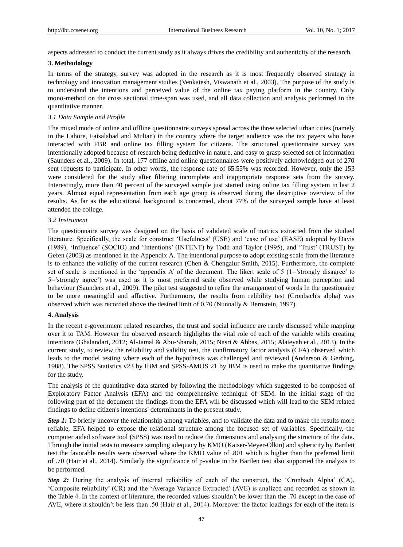aspects addressed to conduct the current study as it always drives the credibility and authenticity of the research.

# **3. Methodology**

In terms of the strategy, survey was adopted in the research as it is most frequently observed strategy in technology and innovation management studies (Venkatesh, Viswanath et al., 2003). The purpose of the study is to understand the intentions and perceived value of the online tax paying platform in the country. Only mono-method on the cross sectional time-span was used, and all data collection and analysis performed in the quantitative manner.

#### *3.1 Data Sample and Profile*

The mixed mode of online and offline questionnaire surveys spread across the three selected urban cities (namely in the Lahore, Faisalabad and Multan) in the country where the target audience was the tax payers who have interacted with FBR and online tax filling system for citizens. The structured questionnaire survey was intentionally adopted because of research being deductive in nature, and easy to grasp selected set of information (Saunders et al., 2009). In total, 177 offline and online questionnaires were positively acknowledged out of 270 sent requests to participate. In other words, the response rate of 65.55% was recorded. However, only the 153 were considered for the study after filtering incomplete and inappropriate response sets from the survey. Interestingly, more than 40 percent of the surveyed sample just started using online tax filling system in last 2 years. Almost equal representation from each age group is observed during the descriptive overview of the results. As far as the educational background is concerned, about 77% of the surveyed sample have at least attended the college.

#### *3.2 Instrument*

The questionnaire survey was designed on the basis of validated scale of matrics extracted from the studied literature. Specifically, the scale for construct 'Usefulness' (USE) and 'ease of use' (EASE) adopted by Davis (1989), 'Influence' (SOCIO) and 'Intentions' (INTENT) by Todd and Taylor (1995), and 'Trust' (TRUST) by Gefen (2003) as mentioned in the Appendix A. The intentional purpose to adopt existing scale from the literature is to enhance the validity of the current research (Chen & Chengalur-Smith, 2015). Furthermore, the complete set of scale is mentioned in the 'appendix A' of the document. The likert scale of  $5$  (1='strongly disagree' to 5='strongly agree') was used as it is most preferred scale observed while studying human perception and behaviour (Saunders et al., 2009). The pilot test suggested to refine the arrangement of words In the questionaire to be more meaningful and affective. Furthermore, the results from relibility test (Cronbach's alpha) was observed which was recorded above the desired limit of 0.70 (Nunnally & Bernstein, 1997).

#### **4. Analysis**

In the recent e-government related researches, the trust and social influence are rarely discussed while mapping over it to TAM. However the observed research highlights the vital role of each of the variable while creating intentions (Ghalandari, 2012; Al-Jamal & Abu-Shanab, 2015; Nasri & Abbas, 2015; Alateyah et al., 2013). In the current study, to review the reliability and validity test, the confirmatory factor analysis (CFA) observed which leads to the model testing where each of the hypothesis was challenged and reviewed (Anderson & Gerbing, 1988). The SPSS Statistics v23 by IBM and SPSS-AMOS 21 by IBM is used to make the quantitative findings for the study.

The analysis of the quantitative data started by following the methodology which suggested to be composed of Exploratory Factor Analysis (EFA) and the comprehensive technique of SEM. In the initial stage of the following part of the document the findings from the EFA will be discussed which will lead to the SEM related findings to define citizen's intentions' determinants in the present study.

*Step 1:* To briefly uncover the relationship among variables, and to validate the data and to make the results more reliable, EFA helped to expose the relational structure among the focused set of variables. Specifically, the computer aided software tool (SPSS) was used to reduce the dimensions and analysing the structure of the data. Through the initial tests to measure sampling adequacy by KMO (Kaiser-Meyer-Olkin) and sphericity by Bartlett test the favorable results were observed where the KMO value of .801 which is higher than the preferred limit of .70 (Hair et al., 2014). Similarly the significance of p-value in the Bartlett test also supported the analysis to be performed.

*Step 2:* During the analysis of internal reliability of each of the construct, the 'Cronbach Alpha' (CA), 'Composite reliability' (CR) and the 'Average Variance Extracted' (AVE) is analized and recorded as shown in the Table 4. In the context of literature, the recorded values shouldn't be lower than the .70 except in the case of AVE, where it shouldn't be less than .50 (Hair et al., 2014). Moreover the factor loadings for each of the item is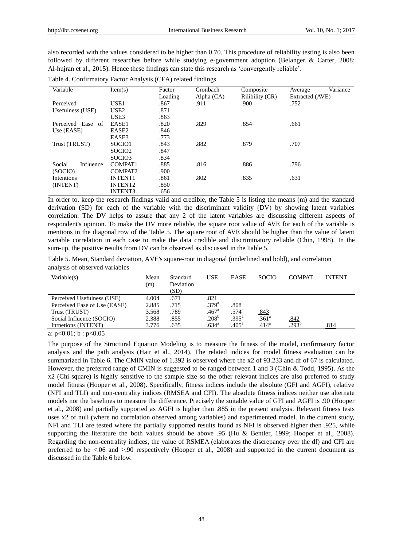also recorded with the values considered to be higher than 0.70. This procedure of reliability testing is also been followed by different researches before while studying e-government adoption (Belanger & Carter, 2008; Al-hujran et al., 2015). Hence these findings can state this research as 'convergently reliable'.

| Variable            | Item(s)            | Factor  | Cronbach     | Composite       | Variance<br>Average |
|---------------------|--------------------|---------|--------------|-----------------|---------------------|
|                     |                    | Loading | Alpha $(CA)$ | Rilibility (CR) | Extracted (AVE)     |
| Perceived           | USE <sub>1</sub>   | .867    | .911         | .900            | .752                |
| Usefulness (USE)    | USE <sub>2</sub>   | .871    |              |                 |                     |
|                     | USE3               | .863    |              |                 |                     |
| Perceived Ease of   | EASE1              | .820    | .829         | .854            | .661                |
| Use (EASE)          | EASE <sub>2</sub>  | .846    |              |                 |                     |
|                     | EASE3              | .773    |              |                 |                     |
| Trust (TRUST)       | SOCIO <sub>1</sub> | .843    | .882         | .879            | .707                |
|                     | SOCIO <sub>2</sub> | .847    |              |                 |                     |
|                     | SOCIO <sub>3</sub> | .834    |              |                 |                     |
| Social<br>Influence | COMPAT1            | .885    | .816         | .886            | .796                |
| (SOCIO)             | COMPAT2            | .900    |              |                 |                     |
| Intentions          | <b>INTENT1</b>     | .861    | .802         | .835            | .631                |
| (INTENT)            | <b>INTENT2</b>     | .850    |              |                 |                     |
|                     | <b>INTENT3</b>     | .656    |              |                 |                     |

Table 4. Confirmatory Factor Analysis (CFA) related findings

In order to, keep the research findings valid and credible, the Table 5 is listing the means (m) and the standard derivation (SD) for each of the variable with the discriminant validity (DV) by showing latent variables correlation. The DV helps to assure that any 2 of the latent variables are discussing different aspects of respondent's opinion. To make the DV more reliable, the square root value of AVE for each of the variable is mentions in the diagonal row of the Table 5. The square root of AVE should be higher than the value of latent variable correlation in each case to make the data credible and discriminatory reliable (Chin, 1998). In the sum-up, the positive results from DV can be observed as discussed in the Table 5.

Table 5. Mean, Standard deviation, AVE's square-root in diagonal (underlined and bold), and correlation analysis of observed variables

| Variable(s)                  | Mean  | Standard  | <b>USE</b>        | <b>EASE</b>         | <b>SOCIO</b>      | <b>COMPAT</b>       | <b>INTENT</b> |  |
|------------------------------|-------|-----------|-------------------|---------------------|-------------------|---------------------|---------------|--|
|                              | (m)   | Deviation |                   |                     |                   |                     |               |  |
|                              |       | (SD)      |                   |                     |                   |                     |               |  |
| Perceived Usefulness (USE)   | 4.004 | .671      | <u>.821</u>       |                     |                   |                     |               |  |
| Perceived Ease of Use (EASE) | 2.885 | .715      | .379 <sup>a</sup> | <u>.808</u>         |                   |                     |               |  |
| Trust (TRUST)                | 3.568 | .789      | .467 <sup>a</sup> | .574 <sup>a</sup>   | .843              |                     |               |  |
| Social Influence (SOCIO)     | 2.388 | .855      | $.208^{\rm b}$    | $.395^{\circ}$      | .361 <sup>a</sup> | $\frac{.842}{.293}$ |               |  |
| Intretions (INTENT)          | 3.776 | .635      | .634 <sup>a</sup> | $.405^{\mathrm{a}}$ | $.414^{\rm a}$    |                     | .814          |  |
| .                            |       |           |                   |                     |                   |                     |               |  |

a:  $p<0.01$ ; b :  $p<0.05$ 

The purpose of the Structural Equation Modeling is to measure the fitness of the model, confirmatory factor analysis and the path analysis (Hair et al., 2014). The related indices for model fitness evaluation can be summarized in Table 6. The CMIN value of 1.392 is observed where the x2 of 93.233 and df of 67 is calculated. However, the preferred range of CMIN is suggested to be ranged between 1 and 3 (Chin & Todd, 1995). As the x2 (Chi-square) is highly sensitive to the sample size so the other relevant indices are also preferred to study model fitness (Hooper et al., 2008). Specifically, fitness indices include the absolute (GFI and AGFI), relative (NFI and TLI) and non-centrality indices (RMSEA and CFI). The absolute fitness indices neither use alternate models nor the baselines to measure the difference. Precisely the suitable value of GFI and AGFI is .90 (Hooper et al., 2008) and partially supported as AGFI is higher than .885 in the present analysis. Relevant fitness tests uses x2 of null (where no correlation observed among variables) and experimented model. In the current study, NFI and TLI are tested where the partially supported results found as NFI is observed higher then .925, while supporting the literature the both values should be above .95 (Hu & Bentler, 1999; Hooper et al., 2008). Regarding the non-centrality indices, the value of RSMEA (elaborates the discrepancy over the df) and CFI are preferred to be <.06 and >.90 respectively (Hooper et al., 2008) and supported in the current document as discussed in the Table 6 below.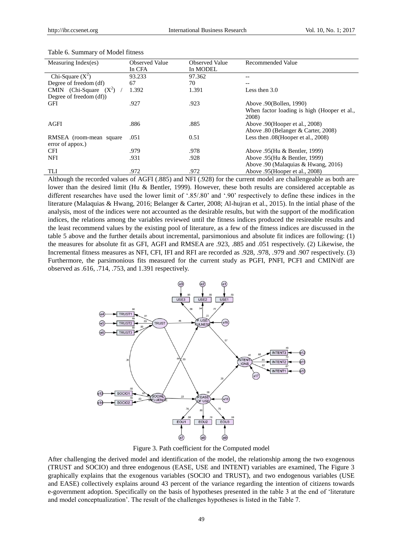| Measuring Index(es)        | <b>Observed Value</b> | <b>Observed Value</b> | <b>Recommended Value</b>                    |
|----------------------------|-----------------------|-----------------------|---------------------------------------------|
|                            | In CFA                | In MODEL              |                                             |
| Chi-Square $(X^2)$         | 93.233                | 97.362                |                                             |
| Degree of freedom (df)     | 67                    | 70                    | --                                          |
| CMIN (Chi-Square $(X^2)$ ) | 1.392                 | 1.391                 | Less then $3.0$                             |
| Degree of freedom (df))    |                       |                       |                                             |
| <b>GFI</b>                 | .927                  | .923                  | Above .90(Bollen, 1990)                     |
|                            |                       |                       | When factor loading is high (Hooper et al., |
|                            |                       |                       | 2008)                                       |
| <b>AGFI</b>                | .886                  | .885                  | Above .90(Hooper et al., 2008)              |
|                            |                       |                       | Above .80 (Belanger & Carter, 2008)         |
| RMSEA (room-mean square)   | .051                  | 0.51                  | Less then .08(Hooper et al., 2008)          |
| error of appox.)           |                       |                       |                                             |
| <b>CFI</b>                 | .979                  | .978                  | Above .95(Hu & Bentler, 1999)               |
| NFI                        | .931                  | .928                  | Above .95(Hu & Bentler, 1999)               |
|                            |                       |                       | Above .90 (Malaquias & Hwang, 2016)         |
| TLI                        | .972                  | .972                  | Above .95(Hooper et al., 2008)              |

#### Table 6. Summary of Model fitness

Although the recorded values of AGFI (.885) and NFI (.928) for the current model are challengeable as both are lower than the desired limit (Hu & Bentler, 1999). However, these both results are considered acceptable as different researches have used the lower limit of '.85/.80' and '.90' respectively to define these indices in the literature (Malaquias & Hwang, 2016; Belanger & Carter, 2008; Al-hujran et al., 2015). In the intial phase of the analysis, most of the indices were not accounted as the desirable results, but with the support of the modification indices, the relations among the variables reviewed until the fitness indices produced the resireable results and the least recommend values by the existing pool of literature, as a few of the fitness indices are discussed in the table 5 above and the further details about incremental, parsimonious and absolute fit indices are following: (1) the measures for absolute fit as GFI, AGFI and RMSEA are .923, .885 and .051 respectively. (2) Likewise, the Incremental fitness measures as NFI, CFI, IFI and RFI are recorded as .928, .978, .979 and .907 respectively. (3) Furthermore, the parsimonious fits measured for the current study as PGFI, PNFI, PCFI and CMIN/df are observed as .616, .714, .753, and 1.391 respectively.



Figure 3. Path coefficient for the Computed model

After challenging the derived model and identification of the model, the relationship among the two exogenous (TRUST and SOCIO) and three endogenous (EASE, USE and INTENT) variables are examined, The Figure 3 graphically explains that the exogenous variables (SOCIO and TRUST), and two endogenous variables (USE and EASE) collectively explains around 43 percent of the variance regarding the intention of citizens towards e-government adoption. Specifically on the basis of hypotheses presented in the table 3 at the end of 'literature and model conceptualization'. The result of the challenges hypotheses is listed in the Table 7.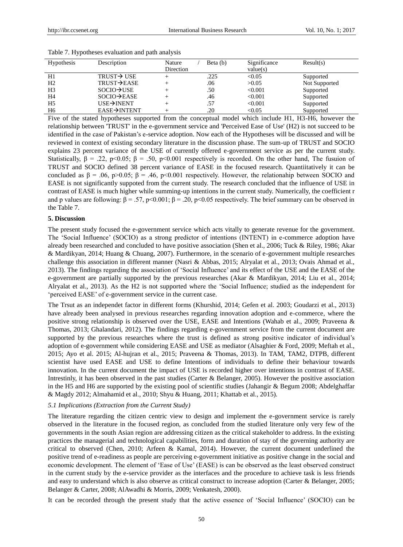| <b>Hypothesis</b> | Description              | Nature<br>Direction | Beta (b) | Significance<br>value(s) | Result(s)     |
|-------------------|--------------------------|---------------------|----------|--------------------------|---------------|
| H1                | TRUST $\rightarrow$ USE  |                     | .225     | < 0.05                   | Supported     |
| H <sub>2</sub>    | TRUST→EASE               |                     | .06      | >0.05                    | Not Supported |
| H <sub>3</sub>    | $SOCIO \rightarrow USE$  |                     | .50      | < 0.001                  | Supported     |
| H <sub>4</sub>    | $SOCIO \rightarrow EASE$ |                     | .46      | < 0.001                  | Supported     |
| H <sub>5</sub>    | $USE\rightarrow$ INENT   |                     | .57      | < 0.001                  | Supported     |
| H <sub>6</sub>    | EASE→INTENT              |                     | .20      | < 0.05                   | Supported     |

| Table 7. Hypotheses evaluation and path analysis |  |  |
|--------------------------------------------------|--|--|
|                                                  |  |  |

Five of the stated hypotheses supported from the conceptual model which include H1, H3-H6, however the relationship between 'TRUST' in the e-government service and 'Perceived Ease of Use' (H2) is not succeed to be identified in the case of Pakistan's e-service adoption. Now each of the Hypotheses will be discussed and will be reviewed in context of existing secondary literature in the discussion phase. The sum-up of TRUST and SOCIO explains 23 percent variance of the USE of currently offered e-government service as per the current study. Statistically,  $β = .22$ ,  $p < 0.05$ ;  $β = .50$ ,  $p < 0.001$  respectively is recorded. On the other hand, The fusuion of TRUST and SOCIO defined 38 percent variance of EASE in the focused research. Quantiitatively it can be concluded as  $\beta = .06$ , p>0.05;  $\beta = .46$ , p<0.001 respectively. However, the relationahip between SOCIO and EASE is not significantly suppoted from the current study. The research concluded that the influence of USE in contrast of EASE is much higher while summing-up intentions in the current study. Numerically, the coefficient r and p values are following:  $\beta = .57$ , p<0.001;  $\beta = .20$ , p<0.05 respectively. The brief summary can be observed in the Table 7.

## **5. Discussion**

The present study focused the e-government service which acts vitally to generate revenue for the government. The 'Social Influence' (SOCIO) as a strong predictor of intentions (INTENT) in e-commerce adoption have already been researched and concluded to have positive association (Shen et al., 2006; Tuck & Riley, 1986; Akar & Mardikyan, 2014; Huang & Chuang, 2007). Furthermore, in the scenario of e-government multiple researches challenge this association in different manner (Nasri & Abbas, 2015; Alryalat et al., 2013; Ovais Ahmad et al., 2013). The findings regarding the association of 'Social Influence' and its effect of the USE and the EASE of the e-government are partially supported by the previous researches (Akar & Mardikyan, 2014; Liu et al., 2014; Alryalat et al., 2013). As the H2 is not supported where the 'Social Influence; studied as the independent for 'perceived EASE' of e-government service in the current case.

The Trsut as an independet factor in different forms (Khurshid, 2014; Gefen et al. 2003; Goudarzi et al., 2013) have already been analysed in previous researches regarding innovation adoption and e-commerce, where the positive strong relationship is observed over the USE, EASE and Intentions (Wahab et al., 2009; Praveena & Thomas, 2013; Ghalandari, 2012). The findings regarding e-government service from the current document are supported by the previous researches where the trust is defined as strong positive indicator of individual's adoption of e-government while considering EASE and USE as mediator (Alsaghier & Ford, 2009; Meftah et al., 2015; Ayo et al. 2015; Al-hujran et al., 2015; Praveena & Thomas, 2013). In TAM, TAM2, DTPB, different scientist have used EASE and USE to define Intentions of individuals to define their behaviour towards innovation. In the current document the impact of USE is recorded higher over intentions in contrast of EASE. Intrestinly, it has been observed in the past studies (Carter & Belanger, 2005). However the positive association in the H5 and H6 are supported by the existing pool of scientific studies (Jahangir & Begum 2008; Abdelghaffar & Magdy 2012; Almahamid et al., 2010; Shyu & Huang, 2011; Khattab et al., 2015).

#### *5.1 Implications (Extraction from the Current Study)*

The literature regarding the citizen centric view to design and implement the e-government service is rarely observed in the literature in the focused region, as concluded from the studied literature only very few of the governments in the south Asian region are addressing citizen as the critical stakeholder to address. In the existing practices the managerial and technological capabilities, form and duration of stay of the governing authority are critical to observed (Chen, 2010; Arfeen & Kamal, 2014). However, the current document underlined the positive trend of e-readiness as people are perceiving e-government initiative as positive change in the social and economic development. The element of 'Ease of Use' (EASE) is can be observed as the least observed construct in the current study by the e-service provider as the interfaces and the procedure to achieve task is less friends and easy to understand which is also observe as critical construct to increase adoption (Carter & Belanger, 2005; Belanger & Carter, 2008; AlAwadhi & Morris, 2009; Venkatesh, 2000).

It can be recorded through the present study that the active essence of 'Social Influence' (SOCIO) can be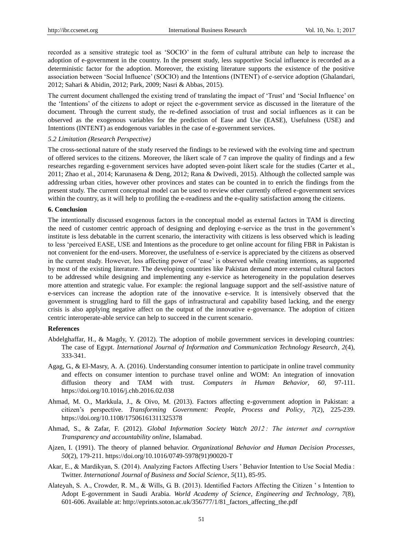recorded as a sensitive strategic tool as 'SOCIO' in the form of cultural attribute can help to increase the adoption of e-government in the country. In the present study, less supportive Social influence is recorded as a deterministic factor for the adoption. Moreover, the existing literature supports the existence of the positive association between 'Social Influence' (SOCIO) and the Intentions (INTENT) of e-service adoption (Ghalandari, 2012; Sahari & Abidin, 2012; Park, 2009; Nasri & Abbas, 2015).

The current document challenged the existing trend of translating the impact of 'Trust' and 'Social Influence' on the 'Intentions' of the citizens to adopt or reject the e-government service as discussed in the literature of the document. Through the current study, the re-defined association of trust and social influences as it can be observed as the exogenous variables for the prediction of Ease and Use (EASE), Usefulness (USE) and Intentions (INTENT) as endogenous variables in the case of e-government services.

# *5.2 Limitation (Research Perspective)*

The cross-sectional nature of the study reserved the findings to be reviewed with the evolving time and spectrum of offered services to the citizens. Moreover, the likert scale of 7 can improve the quality of findings and a few researches regarding e-government services have adopted seven-point likert scale for the studies (Carter et al., 2011; Zhao et al., 2014; Karunasena & Deng, 2012; Rana & Dwivedi, 2015). Although the collected sample was addressing urban cities, however other provinces and states can be counted in to enrich the findings from the present study. The current conceptual model can be used to review other currently offered e-government services within the country, as it will help to profiling the e-readiness and the e-quality satisfaction among the citizens.

# **6. Conclusion**

The intentionally discussed exogenous factors in the conceptual model as external factors in TAM is directing the need of customer centric approach of designing and deploying e-service as the trust in the government's institute is less debatable in the current scenario, the interactivity with citizens is less observed which is leading to less 'perceived EASE, USE and Intentions as the procedure to get online account for filing FBR in Pakistan is not convenient for the end-users. Moreover, the usefulness of e-service is appreciated by the citizens as observed in the current study. However, less affecting power of 'ease' is observed while creating intentions, as supported by most of the existing literature. The developing countries like Pakistan demand more external cultural factors to be addressed while designing and implementing any e-service as heterogeneity in the population deserves more attention and strategic value. For example: the regional language support and the self-assistive nature of e-services can increase the adoption rate of the innovative e-service. It is intensively observed that the government is struggling hard to fill the gaps of infrastructural and capability based lacking, and the energy crisis is also applying negative affect on the output of the innovative e-governance. The adoption of citizen centric interoperate-able service can help to succeed in the current scenario.

## **References**

- Abdelghaffar, H., & Magdy, Y. (2012). The adoption of mobile government services in developing countries: The case of Egypt. *International Journal of Information and Communication Technology Research, 2*(4), 333-341.
- Agag, G., & El-Masry, A. A. (2016). Understanding consumer intention to participate in online travel community and effects on consumer intention to purchase travel online and WOM: An integration of innovation diffusion theory and TAM with trust. *Computers in Human Behavior, 60,* 97-111. <https://doi.org/10.1016/j.chb.2016.02.038>
- Ahmad, M. O., Markkula, J., & Oivo, M. (2013). Factors affecting e-government adoption in Pakistan: a citizen's perspective. *Transforming Government: People, Process and Policy, 7*(2), 225-239. <https://doi.org/10.1108/17506161311325378>
- Ahmad, S., & Zafar, F. (2012). *Global Information Society Watch 2012 : The internet and corruption Transparency and accountability online*, Islamabad.
- Ajzen, I. (1991). The theory of planned behavior. *Organizational Behavior and Human Decision Processes*, *50*(2), 179-211[. https://doi.org/10.1016/0749-5978\(91\)90020-T](https://doi.org/10.1016/0749-5978(91)90020-T)
- Akar, E., & Mardikyan, S. (2014). Analyzing Factors Affecting Users ' Behavior Intention to Use Social Media : Twitter. *International Journal of Business and Social Science, 5*(11), 85-95.
- Alateyah, S. A., Crowder, R. M., & Wills, G. B. (2013). Identified Factors Affecting the Citizen ' s Intention to Adopt E-government in Saudi Arabia. *World Academy of Science, Engineering and Technology, 7*(8), 601-606. Available at: http://eprints.soton.ac.uk/356777/1/81\_factors\_affecting\_the.pdf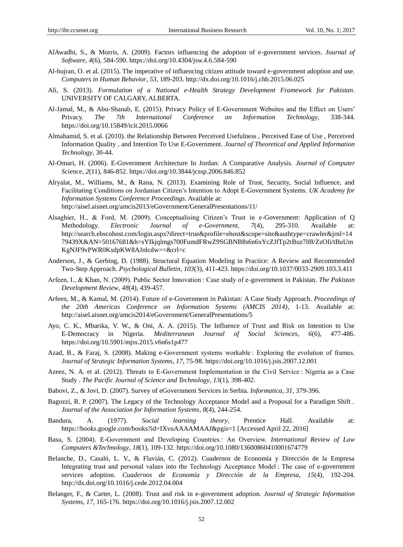- AlAwadhi, S., & Morris, A. (2009). Factors influencing the adoption of e-government services. *Journal of Software, 4*(6), 584-590.<https://doi.org/10.4304/jsw.4.6.584-590>
- Al-hujran, O. et al. (2015). The imperative of influencing citizen attitude toward e-government adoption and use. *Computers in Human Behavior, 53,* 189-203. http://dx.doi.org/10.1016/j.chb.2015.06.025
- Ali, S. (2013). *Formulation of a National e-Health Strategy Development Framework for Pakistan*. UNIVERSITY OF CALGARY, ALBERTA.
- Al-Jamal, M., & Abu-Shanab, E. (2015). Privacy Policy of E-Government Websites and the Effect on Users' Privacy. *The 7th International Conference on Information Technology*, 338-344. <https://doi.org/10.15849/icit.2015.0066>
- Almahamid, S. et al. (2010). the Relationship Between Perceived Usefulness , Perceived Ease of Use , Perceived Information Quality , and Intention To Use E-Government. *Journal of Theoretical and Applied Information Technology*, 30-44.
- Al-Omari, H. (2006). E-Government Architecture In Jordan: A Comparative Analysis. *Journal of Computer Science, 2*(11), 846-852.<https://doi.org/10.3844/jcssp.2006.846.852>
- Alryalat, M., Williams, M., & Rana, N. (2013). Examining Role of Trust, Security, Social Influence, and Facilitating Conditions on Jordanian Citizen's Intention to Adopt E-Government Systems. *UK Academy for Information Systems Conference Proceedings*. Available at: http://aisel.aisnet.org/amcis2013/eGovernment/GeneralPresentations/11/
- Alsaghier, H., & Ford, M. (2009). Conceptualising Citizen's Trust in e-Government: Application of Q Methodology. *Electronic Journal of e-Government, 7*(4), 295-310. Available at: http://search.ebscohost.com/login.aspx?direct=true&profile=ehost&scope=site&authtype=crawler&jrnl=14 79439X&AN=50167681&h=sYIkjqlmgs700FumdFRwZ9SGBNB8s6n6xYcZJfTp2tBuz7lf8/ZzOIi/tBuUm KgNJF9vPWR0KsdpKW8AJnlcdw==&crl=c
- Anderson, J., & Gerbing, D. (1988). Structural Equation Modeling in Practice: A Review and Recommended Two-Step Approach. *Psychological Bulletin, 103*(3), 411-423.<https://doi.org/10.1037/0033-2909.103.3.411>
- Arfeen, I., & Khan, N. (2009). Public Sector Innovation : Case study of e-government in Pakistan. *The Pakistan Development Review, 48*(4), 439-457.
- Arfeen, M., & Kamal, M. (2014). Future of e-Government in Pakistan: A Case Study Approach. *Proceedings of the 20th Americas Conference on Information Systems (AMCIS 2014)*, 1-13. Available at: http://aisel.aisnet.org/amcis2014/eGovernment/GeneralPresentations/5
- Ayo, C. K., Mbarika, V. W., & Oni, A. A. (2015). The Influence of Trust and Risk on Intention to Use E-Democracy in Nigeria. *Mediterranean Journal of Social Sciences, 6*(6), 477-486. <https://doi.org/10.5901/mjss.2015.v6n6s1p477>
- Azad, B., & Faraj, S. (2008). Making e-Government systems workable : Exploring the evolution of frames. *Journal of Strategic Information Systems, 17,* 75-98.<https://doi.org/10.1016/j.jsis.2007.12.001>
- Azeez, N. A. et al. (2012). Threats to E-Government Implementation in the Civil Service : Nigeria as a Case Study . *The Pacific Journal of Science and Technology, 13*(1), 398-402.
- Babovi, Z., & Jovi, D. (2007). Survey of eGovernment Services in Serbia. *Informatica, 31,* 379-396.
- Bagozzi, R. P. (2007). The Legacy of the Technology Acceptance Model and a Proposal for a Paradigm Shift . *Journal of the Association for Information Systems, 8*(4), 244-254.
- Bandura, A. (1977). *Social learning theory*, Prentice Hall. Available at: https://books.google.com/books?id=IXvuAAAAMAAJ&pgis=1 [Accessed April 22, 2016]
- Basu, S. (2004). E-Government and Developing Countries : An Overview. *International Review of Law Computers &Technology, 18*(1), 109-132.<https://doi.org/10.1080/13600860410001674779>
- Belanche, D., Casaló, L. V., & Flavián, C. (2012). Cuadernos de Economía y Dirección de la Empresa Integrating trust and personal values into the Technology Acceptance Model : The case of e-government services adoption. *Cuadernos de Economía y Dirección de la Empresa, 15*(4), 192-204. http://dx.doi.org/10.1016/j.cede.2012.04.004
- Belanger, F., & Carter, L. (2008). Trust and risk in e-government adoption. *Journal of Strategic Information Systems, 17,* 165-176.<https://doi.org/10.1016/j.jsis.2007.12.002>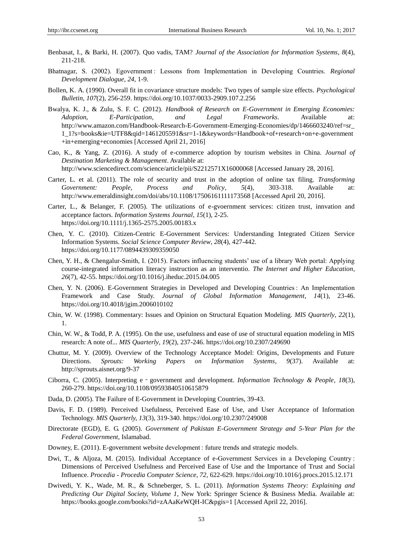- Benbasat, I., & Barki, H. (2007). Quo vadis, TAM? *Journal of the Association for Information Systems, 8*(4), 211-218.
- Bhatnagar, S. (2002). Egovernment: Lessons from Implementation in Developing Countries. *Regional Development Dialogue, 24,* 1-9.
- Bollen, K. A. (1990). Overall fit in covariance structure models: Two types of sample size effects. *Psychological Bulletin, 107*(2), 256-259[. https://doi.org/10.1037/0033-2909.107.2.256](https://doi.org/10.1037/0033-2909.107.2.256)
- Bwalya, K. J., & Zulu, S. F. C. (2012). *Handbook of Research on E-Government in Emerging Economies: Adoption, E-Participation, and Legal Frameworks*. Available at: http://www.amazon.com/Handbook-Research-E-Government-Emerging-Economies/dp/1466603240/ref=sr\_ 1\_1?s=books&ie=UTF8&qid=1461205591&sr=1-1&keywords=Handbook+of+research+on+e-government +in+emerging+economies [Accessed April 21, 2016]
- Cao, K., & Yang, Z. (2016). A study of e-commerce adoption by tourism websites in China. *Journal of Destination Marketing & Management*. Available at: http://www.sciencedirect.com/science/article/pii/S2212571X16000068 [Accessed January 28, 2016].
- Carter, L. et al. (2011). The role of security and trust in the adoption of online tax filing. *Transforming Government: People, Process and Policy, 5*(4), 303-318. Available at: http://www.emeraldinsight.com/doi/abs/10.1108/17506161111173568 [Accessed April 20, 2016].
- Carter, L., & Belanger, F. (2005). The utilizations of e-gvoernment services: citizen trust, innvation and acceptance factors. *Information Systems Journal, 15*(1), 2-25. <https://doi.org/10.1111/j.1365-2575.2005.00183.x>
- Chen, Y. C. (2010). Citizen-Centric E-Government Services: Understanding Integrated Citizen Service Information Systems. *Social Science Computer Review, 28*(4), 427-442. <https://doi.org/10.1177/0894439309359050>
- Chen, Y. H., & Chengalur-Smith, I. (2015). Factors influencing students' use of a library Web portal: Applying course-integrated information literacy instruction as an interventio. *The Internet and Higher Education, 26*(7), 42-55.<https://doi.org/10.1016/j.iheduc.2015.04.005>
- Chen, Y. N. (2006). E-Government Strategies in Developed and Developing Countries : An Implementation Framework and Case Study. *Journal of Global Information Management, 14*(1), 23-46. <https://doi.org/10.4018/jgim.2006010102>
- Chin, W. W. (1998). Commentary: Issues and Opinion on Structural Equation Modeling. *MIS Quarterly*, *22*(1), 1.
- Chin, W. W., & Todd, P. A. (1995). On the use, usefulness and ease of use of structural equation modeling in MIS research: A note of... *MIS Quarterly, 19*(2), 237-246[. https://doi.org/10.2307/249690](https://doi.org/10.2307/249690)
- Chuttur, M. Y. (2009). Overview of the Technology Acceptance Model: Origins, Developments and Future Directions. *Sprouts: Working Papers on Information Systems, 9*(37). Available at: http://sprouts.aisnet.org/9-37
- Ciborra, C. (2005). Interpreting e‐government and development. *Information Technology & People, 18*(3), 260-279.<https://doi.org/10.1108/09593840510615879>
- Dada, D. (2005). The Failure of E-Government in Developing Countries, 39-43.
- Davis, F. D. (1989). Perceived Usefulness, Perceived Ease of Use, and User Acceptance of Information Technology. *MIS Quarterly, 13*(3), 319-340[. https://doi.org/10.2307/249008](https://doi.org/10.2307/249008)
- Directorate (EGD), E. G. (2005). *Government of Pakistan E-Government Strategy and 5-Year Plan for the Federal Government*, Islamabad.
- Downey, E. (2011). E-government website development : future trends and strategic models.
- Dwi, T., & Aljoza, M. (2015). Individual Acceptance of e-Government Services in a Developing Country : Dimensions of Perceived Usefulness and Perceived Ease of Use and the Importance of Trust and Social Influence. *Procedia - Procedia Computer Science, 72,* 622-629[. https://doi.org/10.1016/j.procs.2015.12.171](https://doi.org/10.1016/j.procs.2015.12.171)
- Dwivedi, Y. K., Wade, M. R., & Schneberger, S. L. (2011). *Information Systems Theory: Explaining and Predicting Our Digital Society, Volume 1*, New York: Springer Science & Business Media. Available at: https://books.google.com/books?id=zAAaKeWQH-IC&pgis=1 [Accessed April 22, 2016].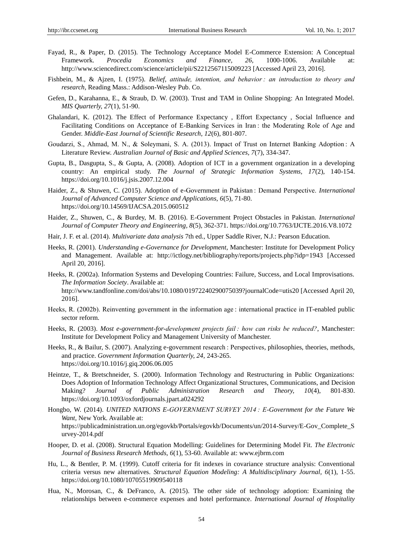- Fayad, R., & Paper, D. (2015). The Technology Acceptance Model E-Commerce Extension: A Conceptual Framework. *Procedia Economics and Finance, 26,* 1000-1006. Available at: http://www.sciencedirect.com/science/article/pii/S2212567115009223 [Accessed April 23, 2016].
- Fishbein, M., & Ajzen, I. (1975). *Belief, attitude, intention, and behavior : an introduction to theory and research*, Reading Mass.: Addison-Wesley Pub. Co.
- Gefen, D., Karahanna, E., & Straub, D. W. (2003). Trust and TAM in Online Shopping: An Integrated Model. *MIS Quarterly, 27*(1), 51-90.
- Ghalandari, K. (2012). The Effect of Performance Expectancy , Effort Expectancy , Social Influence and Facilitating Conditions on Acceptance of E-Banking Services in Iran : the Moderating Role of Age and Gender. *Middle-East Journal of Scientific Research, 12*(6), 801-807.
- Goudarzi, S., Ahmad, M. N., & Soleymani, S. A. (2013). Impact of Trust on Internet Banking Adoption : A Literature Review. *Australian Journal of Basic and Applied Sciences, 7*(7), 334-347.
- Gupta, B., Dasgupta, S., & Gupta, A. (2008). Adoption of ICT in a government organization in a developing country: An empirical study. *The Journal of Strategic Information Systems, 17*(2), 140-154. <https://doi.org/10.1016/j.jsis.2007.12.004>
- Haider, Z., & Shuwen, C. (2015). Adoption of e-Government in Pakistan : Demand Perspective. *International Journal of Advanced Computer Science and Applications, 6*(5), 71-80. <https://doi.org/10.14569/IJACSA.2015.060512>
- Haider, Z., Shuwen, C., & Burdey, M. B. (2016). E-Government Project Obstacles in Pakistan. *International Journal of Computer Theory and Engineering, 8*(5), 362-371.<https://doi.org/10.7763/IJCTE.2016.V8.1072>
- Hair, J. F. et al. (2014). *Multivariate data analysis* 7th ed., Upper Saddle River, N.J.: Pearson Education.
- Heeks, R. (2001). *Understanding e-Governance for Development*, Manchester: Institute for Development Policy and Management. Available at: http://ictlogy.net/bibliography/reports/projects.php?idp=1943 [Accessed April 20, 2016].
- Heeks, R. (2002a). Information Systems and Developing Countries: Failure, Success, and Local Improvisations. *The Information Society*. Available at: http://www.tandfonline.com/doi/abs/10.1080/01972240290075039?journalCode=utis20 [Accessed April 20, 2016].
- Heeks, R. (2002b). Reinventing government in the information age : international practice in IT-enabled public sector reform.
- Heeks, R. (2003). *Most e-government-for-development projects fail : how can risks be reduced?*, Manchester: Institute for Development Policy and Management University of Manchester.
- Heeks, R., & Bailur, S. (2007). Analyzing e-government research : Perspectives, philosophies, theories, methods, and practice. *Government Information Quarterly, 24,* 243-265. <https://doi.org/10.1016/j.giq.2006.06.005>
- Heintze, T., & Bretschneider, S. (2000). Information Technology and Restructuring in Public Organizations: Does Adoption of Information Technology Affect Organizational Structures, Communications, and Decision Making? *Journal of Public Administration Research and Theory, 10*(4), 801-830. <https://doi.org/10.1093/oxfordjournals.jpart.a024292>
- Hongbo, W. (2014). *UNITED NATIONS E-GOVERNMENT SURVEY 2014 : E-Government for the Future We Want*, New York. Available at: https://publicadministration.un.org/egovkb/Portals/egovkb/Documents/un/2014-Survey/E-Gov\_Complete\_S urvey-2014.pdf
- Hooper, D. et al. (2008). Structural Equation Modelling: Guidelines for Determining Model Fit. *The Electronic Journal of Business Research Methods, 6*(1), 53-60. Available at: www.ejbrm.com
- Hu, L., & Bentler, P. M. (1999). Cutoff criteria for fit indexes in covariance structure analysis: Conventional criteria versus new alternatives. *Structural Equation Modeling: A Multidisciplinary Journal, 6*(1), 1-55. <https://doi.org/10.1080/10705519909540118>
- Hua, N., Morosan, C., & DeFranco, A. (2015). The other side of technology adoption: Examining the relationships between e-commerce expenses and hotel performance. *International Journal of Hospitality*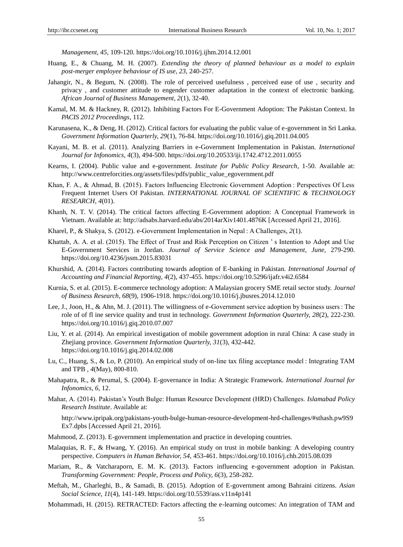*Management, 45,* 109-120[. https://doi.org/10.1016/j.ijhm.2014.12.001](https://doi.org/10.1016/j.ijhm.2014.12.001)

- Huang, E., & Chuang, M. H. (2007). *Extending the theory of planned behaviour as a model to explain post-merger employee behaviour of IS use, 23,* 240-257.
- Jahangir, N., & Begum, N. (2008). The role of perceived usefulness , perceived ease of use , security and privacy , and customer attitude to engender customer adaptation in the context of electronic banking. *African Journal of Business Management, 2*(1), 32-40.
- Kamal, M. M. & Hackney, R. (2012). Inhibiting Factors For E-Government Adoption: The Pakistan Context. In *PACIS 2012 Proceedings*, 112.
- Karunasena, K., & Deng, H. (2012). Critical factors for evaluating the public value of e-government in Sri Lanka. *Government Information Quarterly, 29*(1), 76-84.<https://doi.org/10.1016/j.giq.2011.04.005>
- Kayani, M. B. et al. (2011). Analyzing Barriers in e-Government Implementation in Pakistan. *International Journal for Infonomics, 4*(3), 494-500.<https://doi.org/10.20533/iji.1742.4712.2011.0055>
- Kearns, I. (2004). Public value and e-government. *Institute for Public Policy Research*, 1-50. Available at: http://www.centreforcities.org/assets/files/pdfs/public\_value\_egovernment.pdf
- Khan, F. A., & Ahmad, B. (2015). Factors Influencing Electronic Government Adoption : Perspectives Of Less Frequent Internet Users Of Pakistan. *INTERNATIONAL JOURNAL OF SCIENTIFIC & TECHNOLOGY RESEARCH, 4*(01).
- Khanh, N. T. V. (2014). The critical factors affecting E-Government adoption: A Conceptual Framework in Vietnam. Available at: http://adsabs.harvard.edu/abs/2014arXiv1401.4876K [Accessed April 21, 2016].
- Kharel, P., & Shakya, S. (2012). e-Government Implementation in Nepal : A Challenges*, 2*(1).
- Khattab, A. A. et al. (2015). The Effect of Trust and Risk Perception on Citizen ' s Intention to Adopt and Use E-Government Services in Jordan. *Journal of Service Science and Management, June,* 279-290. <https://doi.org/10.4236/jssm.2015.83031>
- Khurshid, A. (2014). Factors contributing towards adoption of E-banking in Pakistan. *International Journal of Accounting and Financial Reporting, 4*(2), 437-455.<https://doi.org/10.5296/ijafr.v4i2.6584>
- Kurnia, S. et al. (2015). E-commerce technology adoption: A Malaysian grocery SME retail sector study. *Journal of Business Research, 68*(9), 1906-1918[. https://doi.org/10.1016/j.jbusres.2014.12.010](https://doi.org/10.1016/j.jbusres.2014.12.010)
- Lee, J., Joon, H., & Ahn, M. J. (2011). The willingness of e-Government service adoption by business users : The role of of fl ine service quality and trust in technology. *Government Information Quarterly, 28*(2), 222-230. <https://doi.org/10.1016/j.giq.2010.07.007>
- Liu, Y. et al. (2014). An empirical investigation of mobile government adoption in rural China: A case study in Zhejiang province. *Government Information Quarterly, 31*(3), 432-442. <https://doi.org/10.1016/j.giq.2014.02.008>
- Lu, C., Huang, S., & Lo, P. (2010). An empirical study of on-line tax filing acceptance model : Integrating TAM and TPB *, 4*(May), 800-810.
- Mahapatra, R., & Perumal, S. (2004). E-governance in India: A Strategic Framework. *International Journal for Infonomics, 6,* 12.
- Mahar, A. (2014). Pakistan's Youth Bulge: Human Resource Development (HRD) Challenges. *Islamabad Policy Research Institute*. Available at:

http://www.ipripak.org/pakistans-youth-bulge-human-resource-development-hrd-challenges/#sthash.pw9S9 Ex7.dpbs [Accessed April 21, 2016].

- Mahmood, Z. (2013). E-government implementation and practice in developing countries.
- Malaquias, R. F., & Hwang, Y. (2016). An empirical study on trust in mobile banking: A developing country perspective. *Computers in Human Behavior, 54,* 453-461.<https://doi.org/10.1016/j.chb.2015.08.039>
- Mariam, R., & Vatcharaporn, E. M. K. (2013). Factors influencing e-government adoption in Pakistan. *Transforming Government: People, Process and Policy, 6*(3), 258-282.
- Meftah, M., Gharleghi, B., & Samadi, B. (2015). Adoption of E-government among Bahraini citizens. *Asian Social Science, 11*(4), 141-149.<https://doi.org/10.5539/ass.v11n4p141>
- Mohammadi, H. (2015). RETRACTED: Factors affecting the e-learning outcomes: An integration of TAM and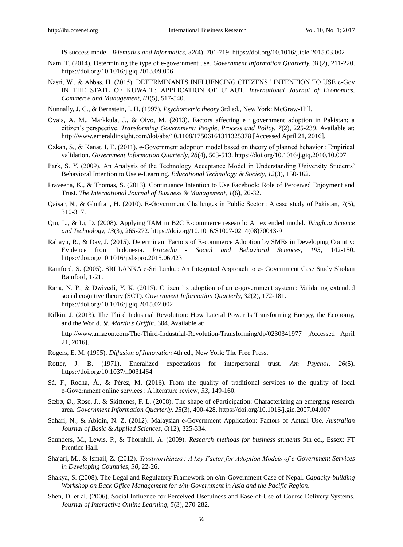IS success model. *Telematics and Informatics, 32*(4), 701-719.<https://doi.org/10.1016/j.tele.2015.03.002>

- Nam, T. (2014). Determining the type of e-government use. *Government Information Quarterly, 31*(2), 211-220. <https://doi.org/10.1016/j.giq.2013.09.006>
- Nasri, W., & Abbas, H. (2015). DETERMINANTS INFLUENCING CITIZENS ' INTENTION TO USE e-Gov IN THE STATE OF KUWAIT : APPLICATION OF UTAUT. *International Journal of Economics, Commerce and Management, III*(5), 517-540.
- Nunnally, J. C., & Bernstein, I. H. (1997). *Psychometric theory* 3rd ed., New York: McGraw-Hill.
- Ovais, A. M., Markkula, J., & Oivo, M. (2013). Factors affecting e‐government adoption in Pakistan: a citizen's perspective. *Transforming Government: People, Process and Policy, 7*(2), 225-239. Available at: http://www.emeraldinsight.com/doi/abs/10.1108/17506161311325378 [Accessed April 21, 2016].
- Ozkan, S., & Kanat, I. E. (2011). e-Government adoption model based on theory of planned behavior : Empirical validation. *Government Information Quarterly, 28*(4), 503-513.<https://doi.org/10.1016/j.giq.2010.10.007>
- Park, S. Y. (2009). An Analysis of the Technology Acceptance Model in Understanding University Students' Behavioral Intention to Use e-Learning. *Educational Technology & Society, 12*(3), 150-162.
- Praveena, K., & Thomas, S. (2013). Continuance Intention to Use Facebook: Role of Perceived Enjoyment and Trust. *The International Journal of Business & Management, 1*(6), 26-32.
- Qaisar, N., & Ghufran, H. (2010). E-Government Challenges in Public Sector : A case study of Pakistan*, 7*(5), 310-317.
- Qiu, L., & Li, D. (2008). Applying TAM in B2C E-commerce research: An extended model. *Tsinghua Science and Technology, 13*(3), 265-272[. https://doi.org/10.1016/S1007-0214\(08\)70043-9](https://doi.org/10.1016/S1007-0214(08)70043-9)
- Rahayu, R., & Day, J. (2015). Determinant Factors of E-commerce Adoption by SMEs in Developing Country: Evidence from Indonesia. *Procedia - Social and Behavioral Sciences, 195,* 142-150. <https://doi.org/10.1016/j.sbspro.2015.06.423>
- Rainford, S. (2005). SRI LANKA e-Sri Lanka : An Integrated Approach to e- Government Case Study Shoban Rainford, 1-21.
- Rana, N. P., & Dwivedi, Y. K. (2015). Citizen ' s adoption of an e-government system : Validating extended social cognitive theory (SCT). *Government Information Quarterly, 32*(2), 172-181. <https://doi.org/10.1016/j.giq.2015.02.002>
- Rifkin, J. (2013). The Third Industrial Revolution: How Lateral Power Is Transforming Energy, the Economy, and the World. *St. Martin's Griffin*, 304. Available at:

http://www.amazon.com/The-Third-Industrial-Revolution-Transforming/dp/0230341977 [Accessed April 21, 2016].

- Rogers, E. M. (1995). *Diffusion of Innovation* 4th ed., New York: The Free Press.
- Rotter, J. B. (1971). Eneralized expectations for interpersonal trust. *Am Psychol, 26*(5). <https://doi.org/10.1037/h0031464>
- Sá, F., Rocha, Á., & Pérez, M. (2016). From the quality of traditional services to the quality of local e-Government online services : A literature review*, 33,* 149-160.
- Sæbø, Ø., Rose, J., & Skiftenes, F. L. (2008). The shape of eParticipation: Characterizing an emerging research area. *Government Information Quarterly, 25*(3), 400-428[. https://doi.org/10.1016/j.giq.2007.04.007](https://doi.org/10.1016/j.giq.2007.04.007)
- Sahari, N., & Abidin, N. Z. (2012). Malaysian e-Government Application: Factors of Actual Use. *Australian Journal of Basic & Applied Sciences*, *6*(12), 325-334.
- Saunders, M., Lewis, P., & Thornhill, A. (2009). *Research methods for business students* 5th ed., Essex: FT Prentice Hall.
- Shajari, M., & Ismail, Z. (2012). *Trustworthiness : A key Factor for Adoption Models of e-Government Services in Developing Countries, 30,* 22-26.
- Shakya, S. (2008). The Legal and Regulatory Framework on e/m-Government Case of Nepal. *Capacity-building Workshop on Back Office Management for e/m-Government in Asia and the Pacific Region*.
- Shen, D. et al. (2006). Social Influence for Perceived Usefulness and Ease-of-Use of Course Delivery Systems. *Journal of Interactive Online Learning, 5*(3), 270-282.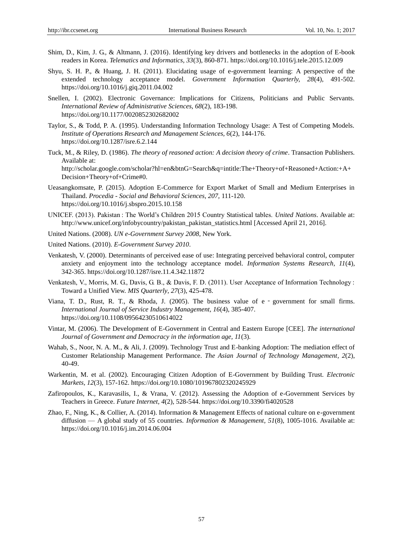- Shim, D., Kim, J. G., & Altmann, J. (2016). Identifying key drivers and bottlenecks in the adoption of E-book readers in Korea. *Telematics and Informatics, 33*(3), 860-871[. https://doi.org/10.1016/j.tele.2015.12.009](https://doi.org/10.1016/j.tele.2015.12.009)
- Shyu, S. H. P., & Huang, J. H. (2011). Elucidating usage of e-government learning: A perspective of the extended technology acceptance model. *Government Information Quarterly, 28*(4), 491-502. <https://doi.org/10.1016/j.giq.2011.04.002>
- Snellen, I. (2002). Electronic Governance: Implications for Citizens, Politicians and Public Servants. *International Review of Administrative Sciences, 68*(2), 183-198. <https://doi.org/10.1177/0020852302682002>
- Taylor, S., & Todd, P. A. (1995). Understanding Information Technology Usage: A Test of Competing Models. *Institute of Operations Research and Management Sciences, 6*(2), 144-176. <https://doi.org/10.1287/isre.6.2.144>
- Tuck, M., & Riley, D. (1986). *The theory of reasoned action: A decision theory of crime*. Transaction Publishers. Available at:

http://scholar.google.com/scholar?hl=en&btnG=Search&q=intitle:The+Theory+of+Reasoned+Action:+A+ Decision+Theory+of+Crime#0.

- Ueasangkomsate, P. (2015). Adoption E-Commerce for Export Market of Small and Medium Enterprises in Thailand. *Procedia - Social and Behavioral Sciences, 207,* 111-120. <https://doi.org/10.1016/j.sbspro.2015.10.158>
- UNICEF. (2013). Pakistan : The World's Children 2015 Country Statistical tables. *United Nations*. Available at: http://www.unicef.org/infobycountry/pakistan\_pakistan\_statistics.html [Accessed April 21, 2016].
- United Nations. (2008). *UN e-Government Survey 2008*, New York.
- United Nations. (2010). *E-Government Survey 2010*.
- Venkatesh, V. (2000). Determinants of perceived ease of use: Integrating perceived behavioral control, computer anxiety and enjoyment into the technology acceptance model. *Information Systems Research, 11*(4), 342-365.<https://doi.org/10.1287/isre.11.4.342.11872>
- Venkatesh, V., Morris, M. G., Davis, G. B., & Davis, F. D. (2011). User Acceptance of Information Technology : Toward a Unified View. *MIS Quarterly*, *27*(3), 425-478.
- Viana, T. D., Rust, R. T., & Rhoda, J. (2005). The business value of e‐government for small firms. *International Journal of Service Industry Management, 16*(4), 385-407. <https://doi.org/10.1108/09564230510614022>
- Vintar, M. (2006). The Development of E-Government in Central and Eastern Europe [CEE]. *The international Journal of Government and Democracy in the information age, 11*(3).
- Wahab, S., Noor, N. A. M., & Ali, J. (2009). Technology Trust and E-banking Adoption: The mediation effect of Customer Relationship Management Performance. *The Asian Journal of Technology Management, 2*(2), 40-49.
- Warkentin, M. et al. (2002). Encouraging Citizen Adoption of E-Government by Building Trust. *Electronic Markets, 12*(3), 157-162[. https://doi.org/10.1080/101967802320245929](https://doi.org/10.1080/101967802320245929)
- Zafiropoulos, K., Karavasilis, I., & Vrana, V. (2012). Assessing the Adoption of e-Government Services by Teachers in Greece. *Future Internet, 4*(2), 528-544[. https://doi.org/10.3390/fi4020528](https://doi.org/10.3390/fi4020528)
- Zhao, F., Ning, K., & Collier, A. (2014). Information & Management Effects of national culture on e-government diffusion — A global study of 55 countries. *Information & Management, 51*(8), 1005-1016. Available at: <https://doi.org/10.1016/j.im.2014.06.004>